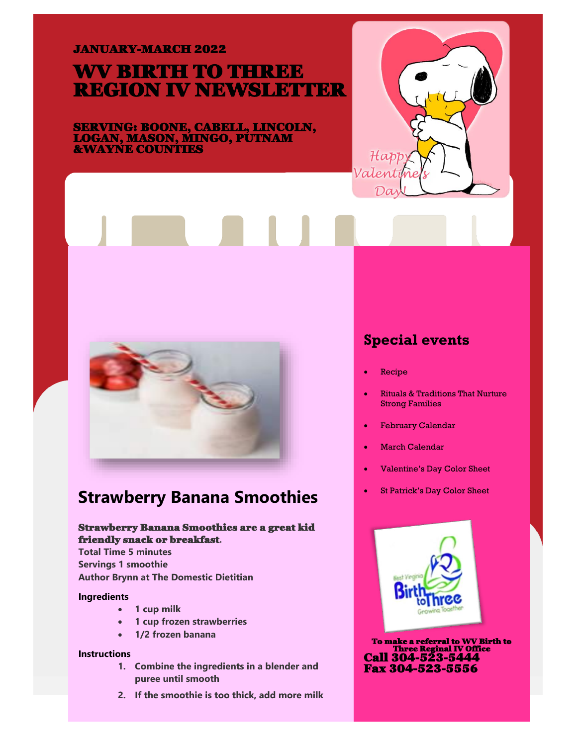# JANUARY-MARCH 2022 WV BIRTH TO THREE REGION IV NEWSLETTER

SERVING: BOONE, CABELL, LINCOLN, LOGAN, MASON, MINGO, PUTNAM &WAYNE COUNTIES





# **Strawberry Banana Smoothies**

## Strawberry Banana Smoothies are a great kid friendly snack or breakfast**.**

**Total Time 5 minutes Servings 1 smoothie Author Brynn at The Domestic Dietitian**

#### **Ingredients**

- **1 cup milk**
- **1 cup frozen strawberries**
	- **1/2 frozen banana**

#### **Instructions**

- **1. Combine the ingredients in a blender and puree until smooth**
- **2. If the smoothie is too thick, add more milk**

# **Special events**

- **Recipe**
- Rituals & Traditions That Nurture Strong Families
- **February Calendar**
- March Calendar
- Valentine's Day Color Sheet
- **St Patrick's Day Color Sheet**



To make a referral to WV Birth to Three Reginal IV Office Call 304-523-5444 Fax 304-523-5556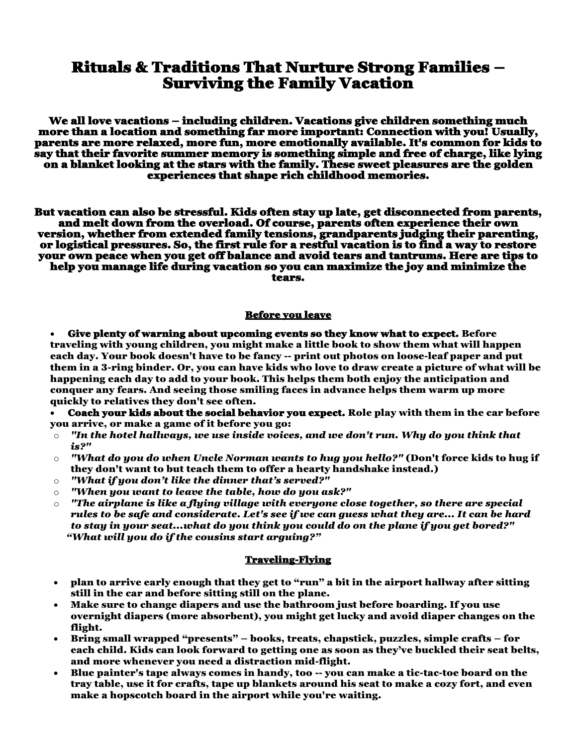# Rituals & Traditions That Nurture Strong Families – Surviving the Family Vacation

We all love vacations – including children. Vacations give children something much more than a location and something far more important: Connection with you! Usually, parents are more relaxed, more fun, more emotionally available. It's common for kids to say that their favorite summer memory is something simple and free of charge, like lying on a blanket looking at the stars with the family. These sweet pleasures are the golden experiences that shape rich childhood memories.

But vacation can also be stressful. Kids often stay up late, get disconnected from parents, and melt down from the overload. Of course, parents often experience their own version, whether from extended family tensions, grandparents judging their parenting, or logistical pressures. So, the first rule for a restful vacation is to find a way to restore your own peace when you get off balance and avoid tears and tantrums. Here are tips to help you manage life during vacation so you can maximize the joy and minimize the tears.

#### Before you leave

• Give plenty of warning about upcoming events so they know what to expect. Before traveling with young children, you might make a little book to show them what will happen each day. Your book doesn't have to be fancy -- print out photos on loose-leaf paper and put them in a 3-ring binder. Or, you can have kids who love to draw create a picture of what will be happening each day to add to your book. This helps them both enjoy the anticipation and conquer any fears. And seeing those smiling faces in advance helps them warm up more quickly to relatives they don't see often.

• Coach your kids about the social behavior you expect. Role play with them in the car before you arrive, or make a game of it before you go:

- o *"In the hotel hallways, we use inside voices, and we don't run. Why do you think that is?"*
- o *"What do you do when Uncle Norman wants to hug you hello?"* (Don't force kids to hug if they don't want to but teach them to offer a hearty handshake instead.)
- o *"What if you don't like the dinner that's served?"*
- o *"When you want to leave the table, how do you ask?"*
- o *"The airplane is like a flying village with everyone close together, so there are special rules to be safe and considerate. Let's see if we can guess what they are... It can be hard to stay in your seat...what do you think you could do on the plane if you get bored?" "What will you do if the cousins start arguing?"*

#### Traveling-Flying

- plan to arrive early enough that they get to "run" a bit in the airport hallway after sitting still in the car and before sitting still on the plane.
- Make sure to change diapers and use the bathroom just before boarding. If you use overnight diapers (more absorbent), you might get lucky and avoid diaper changes on the flight.
- Bring small wrapped "presents" books, treats, chapstick, puzzles, simple crafts for each child. Kids can look forward to getting one as soon as they've buckled their seat belts, and more whenever you need a distraction mid-flight.
- Blue painter's tape always comes in handy, too -- you can make a tic-tac-toe board on the tray table, use it for crafts, tape up blankets around his seat to make a cozy fort, and even make a hopscotch board in the airport while you're waiting.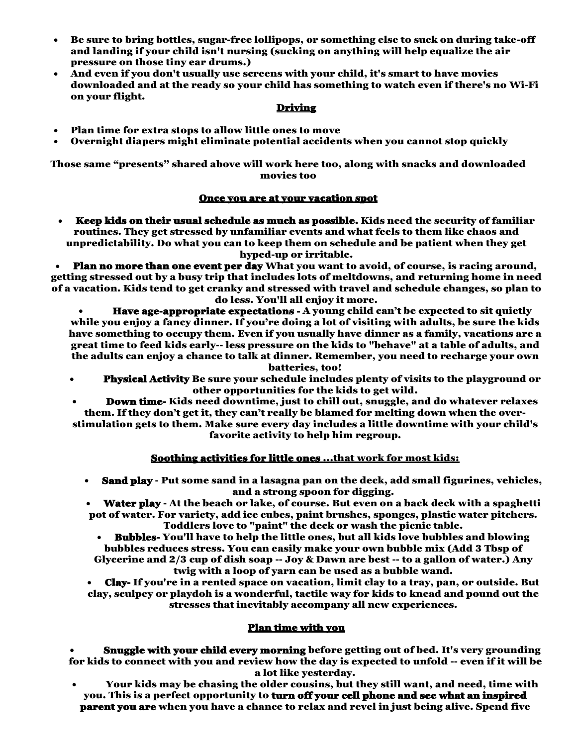- Be sure to bring bottles, sugar-free lollipops, or something else to suck on during take-off and landing if your child isn't nursing (sucking on anything will help equalize the air pressure on those tiny ear drums.)
- And even if you don't usually use screens with your child, it's smart to have movies downloaded and at the ready so your child has something to watch even if there's no Wi-Fi on your flight.

## **Driving**

- Plan time for extra stops to allow little ones to move
- Overnight diapers might eliminate potential accidents when you cannot stop quickly

Those same "presents" shared above will work here too, along with snacks and downloaded movies too

### Once you are at your vacation spot

• Keep kids on their usual schedule as much as possible. Kids need the security of familiar routines. They get stressed by unfamiliar events and what feels to them like chaos and unpredictability. Do what you can to keep them on schedule and be patient when they get hyped-up or irritable.

• Plan no more than one event per day What you want to avoid, of course, is racing around, getting stressed out by a busy trip that includes lots of meltdowns, and returning home in need of a vacation. Kids tend to get cranky and stressed with travel and schedule changes, so plan to do less. You'll all enjoy it more.

Have age-appropriate expectations - A young child can't be expected to sit quietly while you enjoy a fancy dinner. If you're doing a lot of visiting with adults, be sure the kids have something to occupy them. Even if you usually have dinner as a family, vacations are a great time to feed kids early-- less pressure on the kids to "behave" at a table of adults, and the adults can enjoy a chance to talk at dinner. Remember, you need to recharge your own batteries, too!

- Physical Activity Be sure your schedule includes plenty of visits to the playground or other opportunities for the kids to get wild.
- Down time- Kids need downtime, just to chill out, snuggle, and do whatever relaxes them. If they don't get it, they can't really be blamed for melting down when the overstimulation gets to them. Make sure every day includes a little downtime with your child's

favorite activity to help him regroup.

### Soothing activities for little ones ...that work for most kids:

- Sand play Put some sand in a lasagna pan on the deck, add small figurines, vehicles, and a strong spoon for digging.
- Water play At the beach or lake, of course. But even on a back deck with a spaghetti pot of water. For variety, add ice cubes, paint brushes, sponges, plastic water pitchers. Toddlers love to "paint" the deck or wash the picnic table.
	- Bubbles- You'll have to help the little ones, but all kids love bubbles and blowing bubbles reduces stress. You can easily make your own bubble mix (Add 3 Tbsp of Glycerine and 2/3 cup of dish soap -- Joy & Dawn are best -- to a gallon of water.) Any twig with a loop of yarn can be used as a bubble wand.

• Clay- If you're in a rented space on vacation, limit clay to a tray, pan, or outside. But clay, sculpey or playdoh is a wonderful, tactile way for kids to knead and pound out the stresses that inevitably accompany all new experiences.

### Plan time with you

• Snuggle with your child every morning before getting out of bed. It's very grounding for kids to connect with you and review how the day is expected to unfold -- even if it will be a lot like yesterday.

• Your kids may be chasing the older cousins, but they still want, and need, time with you. This is a perfect opportunity to turn off your cell phone and see what an inspired parent you are when you have a chance to relax and revel in just being alive. Spend five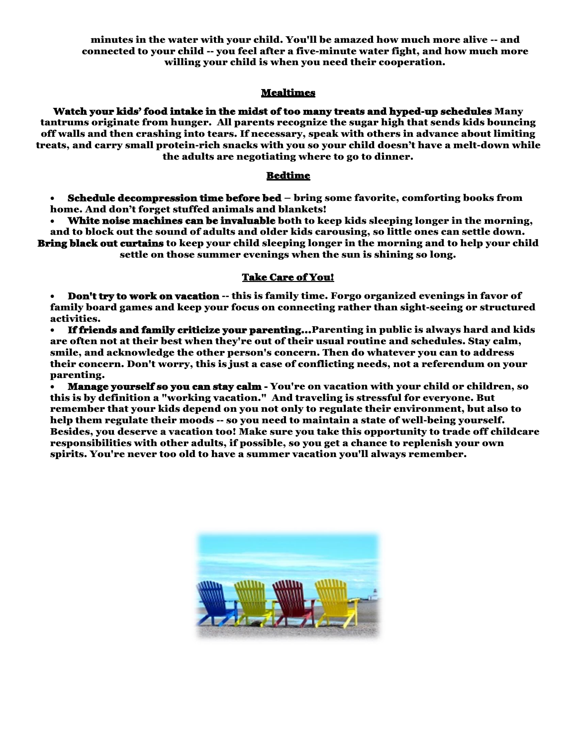minutes in the water with your child. You'll be amazed how much more alive -- and connected to your child -- you feel after a five-minute water fight, and how much more willing your child is when you need their cooperation.

#### Mealtimes

Watch your kids' food intake in the midst of too many treats and hyped-up schedules Many tantrums originate from hunger. All parents recognize the sugar high that sends kids bouncing off walls and then crashing into tears. If necessary, speak with others in advance about limiting treats, and carry small protein-rich snacks with you so your child doesn't have a melt-down while the adults are negotiating where to go to dinner.

#### **Bedtime**

• Schedule decompression time before bed – bring some favorite, comforting books from home. And don't forget stuffed animals and blankets!

White noise machines can be invaluable both to keep kids sleeping longer in the morning, and to block out the sound of adults and older kids carousing, so little ones can settle down.

Bring black out curtains to keep your child sleeping longer in the morning and to help your child settle on those summer evenings when the sun is shining so long.

#### Take Care of You!

• Don't try to work on vacation -- this is family time. Forgo organized evenings in favor of family board games and keep your focus on connecting rather than sight-seeing or structured activities.

• If friends and family criticize your parenting...Parenting in public is always hard and kids are often not at their best when they're out of their usual routine and schedules. Stay calm, smile, and acknowledge the other person's concern. Then do whatever you can to address their concern. Don't worry, this is just a case of conflicting needs, not a referendum on your parenting.

• Manage yourself so you can stay calm - You're on vacation with your child or children, so this is by definition a "working vacation." And traveling is stressful for everyone. But remember that your kids depend on you not only to regulate their environment, but also to help them regulate their moods -- so you need to maintain a state of well-being yourself. Besides, you deserve a vacation too! Make sure you take this opportunity to trade off childcare responsibilities with other adults, if possible, so you get a chance to replenish your own spirits. You're never too old to have a summer vacation you'll always remember.

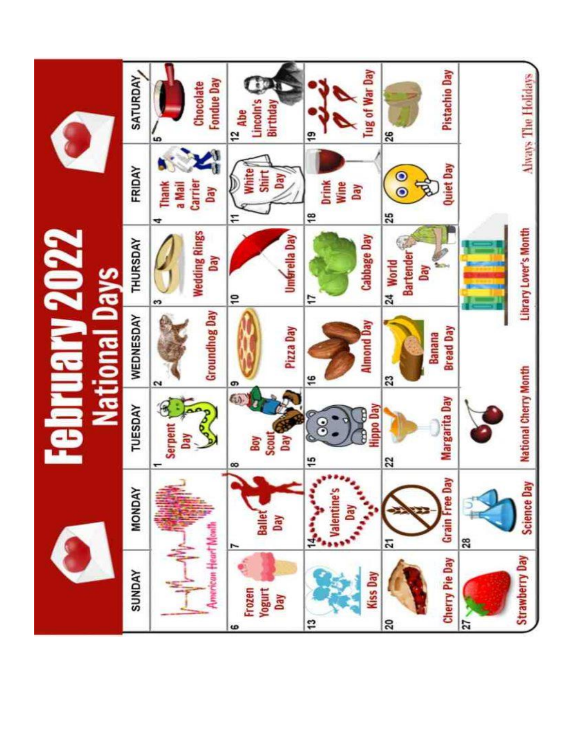|                                            | <b>SATURDAY</b> | <b>Fondue Day</b><br><b>Chocolate</b><br>S    | Lincoln's<br>Birthday<br><b>12 Abe</b>              | <b>Tug of War Day</b><br>ë       | Pistachio Day<br>26                        | <b>Always The Holidays</b>   |
|--------------------------------------------|-----------------|-----------------------------------------------|-----------------------------------------------------|----------------------------------|--------------------------------------------|------------------------------|
|                                            | FRIDAY          | Carrier<br>Thank<br>a Mail<br><b>Day</b><br>₩ | <b>White</b><br>Shirt<br><b>U<sub>E</sub>Q</b><br>። | Drink<br>Wine<br>Day<br>\$ł      | Quiet Day<br>$\bullet$<br>25               |                              |
|                                            | THURSDAY        | <b>Wedding Rings</b><br>VeQ<br>S              | <b>Umferella Day</b><br><u>۽</u>                    | <b>Cabbage Day</b><br>17         | <b>Bartender</b><br>24 World<br><b>Day</b> | Library Lover's Month        |
| <b>Druary 2022</b><br><b>National Days</b> | WEDNESDAY       | <b>Groundhog Day</b><br>2                     | Pizza Day<br>თ                                      | <b>Almond Day</b><br>16          | <b>Bread Day</b><br>Banana<br>23           |                              |
|                                            | TUESDAY         | <b>Serpent</b><br>VeQ                         | Scout<br>VeQ<br><b>Fog</b><br>$\infty$              | Hippo Day<br>e<br>ြ<br>15        | Margarita Day<br>22                        | <b>National Cherry Month</b> |
|                                            | <b>MONDAY</b>   |                                               | Ballet<br>Veq<br>$\overline{ }$                     | <b>Valentine's</b><br>VeQ<br>14. | <b>Grain Free Day</b><br>$\overline{21}$   | <b>Science Day</b><br>28     |
|                                            | <b>SUNDAY</b>   | American Heart Mont                           | Frozen<br>Yogurt<br>VeQ<br>G                        | <b>Kiss Day</b><br>13            | Cherry Pie Day<br>20                       | <b>Strawberry Day</b><br>27  |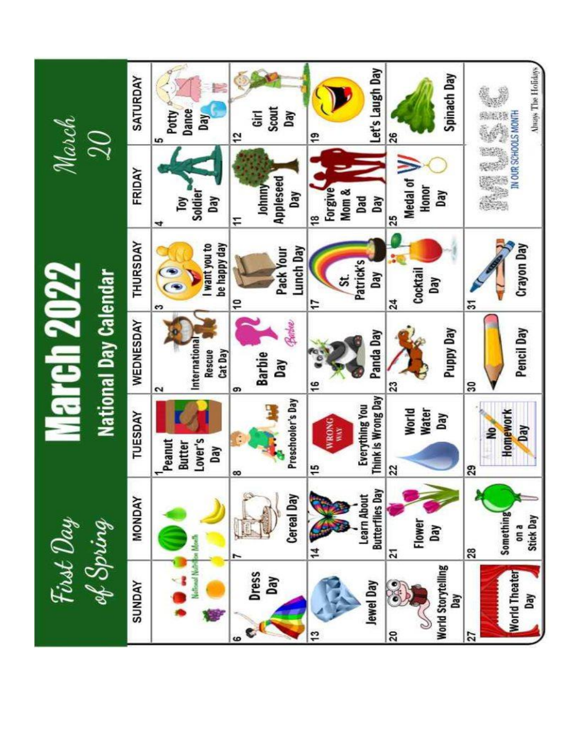| March<br>$\mathcal{Q}$             |               | SATURDAY                                | Potty<br><b>Dance</b><br><b>Day</b><br>5       | Scout<br>Girl<br>Uay<br>$\frac{2}{3}$ | Let's Laugh Day<br>e,                                      | Spinach Day<br>26                           | <b>Always The Holidays</b>        |
|------------------------------------|---------------|-----------------------------------------|------------------------------------------------|---------------------------------------|------------------------------------------------------------|---------------------------------------------|-----------------------------------|
|                                    | FRIDAY        | Soldier<br>Day<br>Toy<br>4              | Appleseed<br>Johnny<br>VeQ<br>÷                | Forgive<br>Mom &<br>Day<br>Dad<br>æ   | <b>Medal of</b><br>Honor<br>Uay<br>25                      | IN OUR SCHOOLS MONTH                        |                                   |
|                                    |               | THURSDAY                                | be happy day<br>want you to<br>s               | Lunch Day<br>Pack Your<br>۽           | Patrick's<br>Day<br>5ť<br>17                               | Cocktail<br>VeQ<br>24                       | Crayon Day<br>57                  |
| areh 2022<br>National Day Calendar | WEDNESDAY     | International<br>Rescue<br>Cat Day<br>2 | Bathe<br><b>Barbie</b><br>Day<br>စာ            | Panda Day<br>e<br>46                  | <b>Puppy Day</b><br>23                                     | Pencil Day<br>30                            |                                   |
|                                    |               | <b>TUESDAY</b>                          | Lover's<br>$\mathsf{P}$ eanut<br>Butter<br>Day | Preschooler's Day<br>∞                | Think is Wrong Day<br><b>Everything You</b><br>VRONG<br>15 | Water<br>World<br>Veq<br>22                 | <b>Homework</b><br>VeQ<br>£<br>29 |
| First Day<br>of Spring             | <b>MONDAY</b> |                                         | Cereal Day<br>L                                | Butterfiles Day<br>Learn About<br>14  | Flower<br>Day<br>21                                        | Something<br><b>Stick Day</b><br>on a<br>28 |                                   |
|                                    | SUNDAY        |                                         | <b>Dress</b><br>Day<br>$\boldsymbol{\omega}$   | Jewel Day<br>13                       | World Storytelling<br>Day<br>20                            | <b>World Theater</b><br>Day<br>27           |                                   |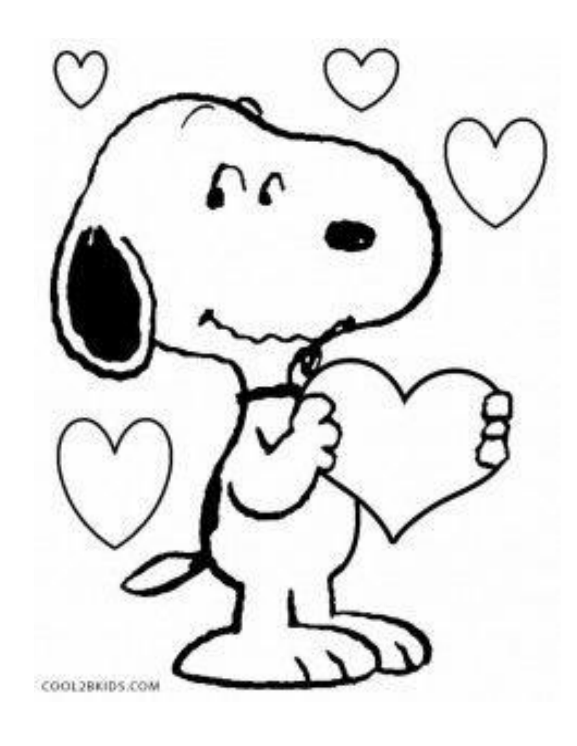